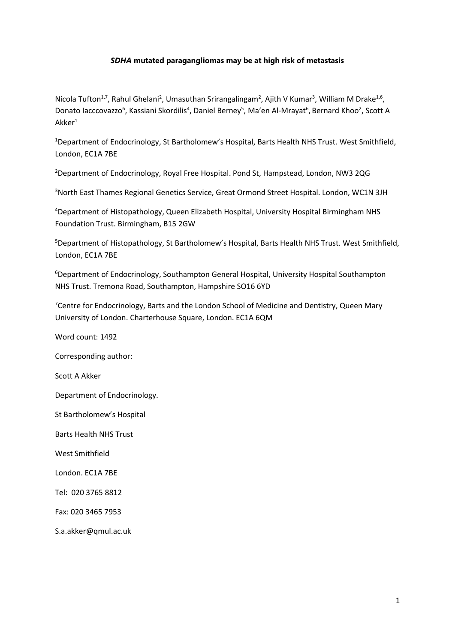## *SDHA* **mutated paragangliomas may be at high risk of metastasis**

Nicola Tufton<sup>1,7</sup>, Rahul Ghelani<sup>2</sup>, Umasuthan Srirangalingam<sup>2</sup>, Ajith V Kumar<sup>3</sup>, William M Drake<sup>1,6</sup>, Donato Iacccovazzo<sup>6</sup>, Kassiani Skordilis<sup>4</sup>, Daniel Berney<sup>5</sup>, Ma'en Al-Mrayat<sup>6</sup>, Bernard Khoo<sup>2</sup>, Scott A  $Akker<sup>1</sup>$ 

<sup>1</sup>Department of Endocrinology, St Bartholomew's Hospital, Barts Health NHS Trust. West Smithfield, London, EC1A 7BE

<sup>2</sup>Department of Endocrinology, Royal Free Hospital. Pond St, Hampstead, London, NW3 2QG

<sup>3</sup>North East Thames Regional Genetics Service, Great Ormond Street Hospital. London, WC1N 3JH

<sup>4</sup>Department of Histopathology, Queen Elizabeth Hospital, University Hospital Birmingham NHS Foundation Trust. Birmingham, B15 2GW

<sup>5</sup>Department of Histopathology, St Bartholomew's Hospital, Barts Health NHS Trust. West Smithfield, London, EC1A 7BE

<sup>6</sup>Department of Endocrinology, Southampton General Hospital, University Hospital Southampton NHS Trust. Tremona Road, Southampton, Hampshire SO16 6YD

<sup>7</sup>Centre for Endocrinology, Barts and the London School of Medicine and Dentistry, Queen Mary University of London. Charterhouse Square, London. EC1A 6QM

Word count: 1492

Corresponding author:

Scott A Akker

Department of Endocrinology.

St Bartholomew's Hospital

Barts Health NHS Trust

West Smithfield

London. EC1A 7BE

Tel: 020 3765 8812

Fax: 020 3465 7953

S.a.akker@qmul.ac.uk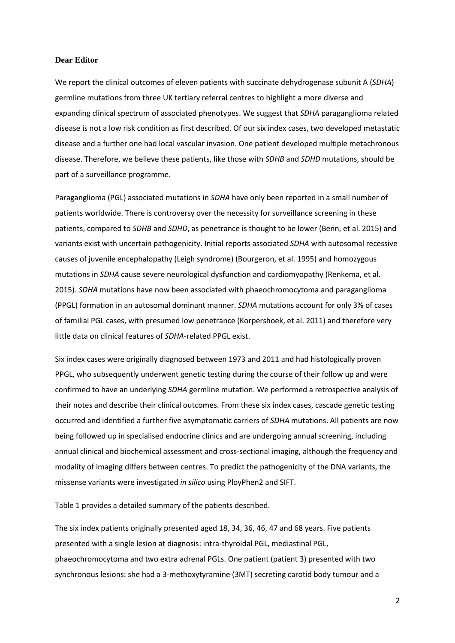## **Dear Editor**

We report the clinical outcomes of eleven patients with succinate dehydrogenase subunit A (*SDHA*) germline mutations from three UK tertiary referral centres to highlight a more diverse and expanding clinical spectrum of associated phenotypes. We suggest that *SDHA* paraganglioma related disease is not a low risk condition as first described. Of our six index cases, two developed metastatic disease and a further one had local vascular invasion. One patient developed multiple metachronous disease. Therefore, we believe these patients, like those with *SDHB* and *SDHD* mutations, should be part of a surveillance programme.

Paraganglioma (PGL) associated mutations in *SDHA* have only been reported in a small number of patients worldwide. There is controversy over the necessity for surveillance screening in these patients, compared to *SDHB* and *SDHD*, as penetrance is thought to be lower (Benn, et al. 2015) and variants exist with uncertain pathogenicity. Initial reports associated *SDHA* with autosomal recessive causes of juvenile encephalopathy (Leigh syndrome) (Bourgeron, et al. 1995) and homozygous mutations in *SDHA* cause severe neurological dysfunction and cardiomyopathy (Renkema, et al. 2015). *SDHA* mutations have now been associated with phaeochromocytoma and paraganglioma (PPGL) formation in an autosomal dominant manner. *SDHA* mutations account for only 3% of cases of familial PGL cases, with presumed low penetrance (Korpershoek, et al. 2011) and therefore very little data on clinical features of *SDHA*-related PPGL exist.

Six index cases were originally diagnosed between 1973 and 2011 and had histologically proven PPGL, who subsequently underwent genetic testing during the course of their follow up and were confirmed to have an underlying *SDHA* germline mutation. We performed a retrospective analysis of their notes and describe their clinical outcomes. From these six index cases, cascade genetic testing occurred and identified a further five asymptomatic carriers of *SDHA* mutations. All patients are now being followed up in specialised endocrine clinics and are undergoing annual screening, including annual clinical and biochemical assessment and cross-sectional imaging, although the frequency and modality of imaging differs between centres. To predict the pathogenicity of the DNA variants, the missense variants were investigated *in silico* using PloyPhen2 and SIFT.

Table 1 provides a detailed summary of the patients described.

The six index patients originally presented aged 18, 34, 36, 46, 47 and 68 years. Five patients presented with a single lesion at diagnosis: intra-thyroidal PGL, mediastinal PGL, phaeochromocytoma and two extra adrenal PGLs. One patient (patient 3) presented with two synchronous lesions: she had a 3-methoxytyramine (3MT) secreting carotid body tumour and a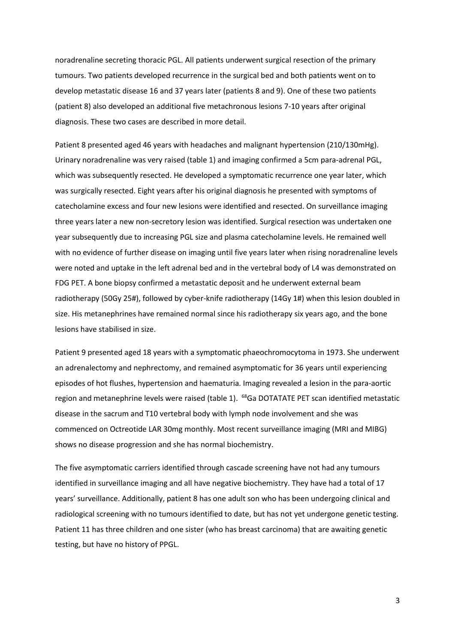noradrenaline secreting thoracic PGL. All patients underwent surgical resection of the primary tumours. Two patients developed recurrence in the surgical bed and both patients went on to develop metastatic disease 16 and 37 years later (patients 8 and 9). One of these two patients (patient 8) also developed an additional five metachronous lesions 7-10 years after original diagnosis. These two cases are described in more detail.

Patient 8 presented aged 46 years with headaches and malignant hypertension (210/130mHg). Urinary noradrenaline was very raised (table 1) and imaging confirmed a 5cm para-adrenal PGL, which was subsequently resected. He developed a symptomatic recurrence one year later, which was surgically resected. Eight years after his original diagnosis he presented with symptoms of catecholamine excess and four new lesions were identified and resected. On surveillance imaging three years later a new non-secretory lesion was identified. Surgical resection was undertaken one year subsequently due to increasing PGL size and plasma catecholamine levels. He remained well with no evidence of further disease on imaging until five years later when rising noradrenaline levels were noted and uptake in the left adrenal bed and in the vertebral body of L4 was demonstrated on FDG PET. A bone biopsy confirmed a metastatic deposit and he underwent external beam radiotherapy (50Gy 25#), followed by cyber-knife radiotherapy (14Gy 1#) when this lesion doubled in size. His metanephrines have remained normal since his radiotherapy six years ago, and the bone lesions have stabilised in size.

Patient 9 presented aged 18 years with a symptomatic phaeochromocytoma in 1973. She underwent an adrenalectomy and nephrectomy, and remained asymptomatic for 36 years until experiencing episodes of hot flushes, hypertension and haematuria. Imaging revealed a lesion in the para-aortic region and metanephrine levels were raised (table 1). <sup>68</sup>Ga DOTATATE PET scan identified metastatic disease in the sacrum and T10 vertebral body with lymph node involvement and she was commenced on Octreotide LAR 30mg monthly. Most recent surveillance imaging (MRI and MIBG) shows no disease progression and she has normal biochemistry.

The five asymptomatic carriers identified through cascade screening have not had any tumours identified in surveillance imaging and all have negative biochemistry. They have had a total of 17 years' surveillance. Additionally, patient 8 has one adult son who has been undergoing clinical and radiological screening with no tumours identified to date, but has not yet undergone genetic testing. Patient 11 has three children and one sister (who has breast carcinoma) that are awaiting genetic testing, but have no history of PPGL.

3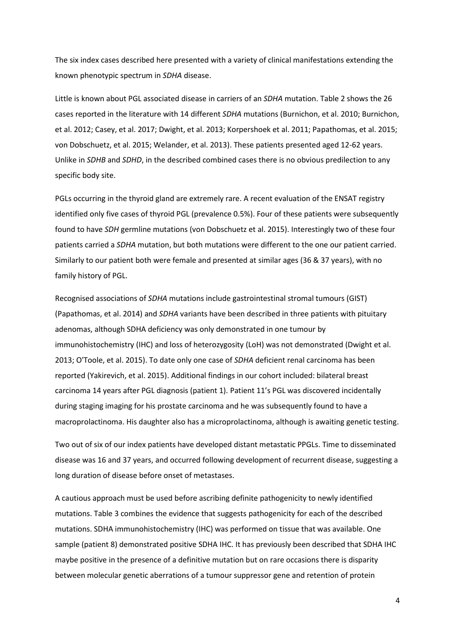The six index cases described here presented with a variety of clinical manifestations extending the known phenotypic spectrum in *SDHA* disease.

Little is known about PGL associated disease in carriers of an *SDHA* mutation. Table 2 shows the 26 cases reported in the literature with 14 different *SDHA* mutations (Burnichon, et al. 2010; Burnichon, et al. 2012; Casey, et al. 2017; Dwight, et al. 2013; Korpershoek et al. 2011; Papathomas, et al. 2015; von Dobschuetz, et al. 2015; Welander, et al. 2013). These patients presented aged 12-62 years. Unlike in *SDHB* and *SDHD*, in the described combined cases there is no obvious predilection to any specific body site.

PGLs occurring in the thyroid gland are extremely rare. A recent evaluation of the ENSAT registry identified only five cases of thyroid PGL (prevalence 0.5%). Four of these patients were subsequently found to have *SDH* germline mutations (von Dobschuetz et al. 2015). Interestingly two of these four patients carried a *SDHA* mutation, but both mutations were different to the one our patient carried. Similarly to our patient both were female and presented at similar ages (36 & 37 years), with no family history of PGL.

Recognised associations of *SDHA* mutations include gastrointestinal stromal tumours (GIST) (Papathomas, et al. 2014) and *SDHA* variants have been described in three patients with pituitary adenomas, although SDHA deficiency was only demonstrated in one tumour by immunohistochemistry (IHC) and loss of heterozygosity (LoH) was not demonstrated (Dwight et al. 2013; O'Toole, et al. 2015). To date only one case of *SDHA* deficient renal carcinoma has been reported (Yakirevich, et al. 2015). Additional findings in our cohort included: bilateral breast carcinoma 14 years after PGL diagnosis (patient 1). Patient 11's PGL was discovered incidentally during staging imaging for his prostate carcinoma and he was subsequently found to have a macroprolactinoma. His daughter also has a microprolactinoma, although is awaiting genetic testing.

Two out of six of our index patients have developed distant metastatic PPGLs. Time to disseminated disease was 16 and 37 years, and occurred following development of recurrent disease, suggesting a long duration of disease before onset of metastases.

A cautious approach must be used before ascribing definite pathogenicity to newly identified mutations. Table 3 combines the evidence that suggests pathogenicity for each of the described mutations. SDHA immunohistochemistry (IHC) was performed on tissue that was available. One sample (patient 8) demonstrated positive SDHA IHC. It has previously been described that SDHA IHC maybe positive in the presence of a definitive mutation but on rare occasions there is disparity between molecular genetic aberrations of a tumour suppressor gene and retention of protein

4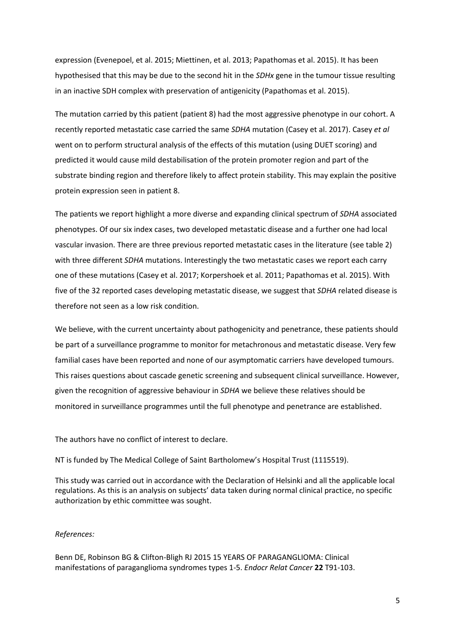expression (Evenepoel, et al. 2015; Miettinen, et al. 2013; Papathomas et al. 2015). It has been hypothesised that this may be due to the second hit in the *SDHx* gene in the tumour tissue resulting in an inactive SDH complex with preservation of antigenicity (Papathomas et al. 2015).

The mutation carried by this patient (patient 8) had the most aggressive phenotype in our cohort. A recently reported metastatic case carried the same *SDHA* mutation (Casey et al. 2017). Casey *et al*  went on to perform structural analysis of the effects of this mutation (using DUET scoring) and predicted it would cause mild destabilisation of the protein promoter region and part of the substrate binding region and therefore likely to affect protein stability. This may explain the positive protein expression seen in patient 8.

The patients we report highlight a more diverse and expanding clinical spectrum of *SDHA* associated phenotypes. Of our six index cases, two developed metastatic disease and a further one had local vascular invasion. There are three previous reported metastatic cases in the literature (see table 2) with three different *SDHA* mutations. Interestingly the two metastatic cases we report each carry one of these mutations (Casey et al. 2017; Korpershoek et al. 2011; Papathomas et al. 2015). With five of the 32 reported cases developing metastatic disease, we suggest that *SDHA* related disease is therefore not seen as a low risk condition.

We believe, with the current uncertainty about pathogenicity and penetrance, these patients should be part of a surveillance programme to monitor for metachronous and metastatic disease. Very few familial cases have been reported and none of our asymptomatic carriers have developed tumours. This raises questions about cascade genetic screening and subsequent clinical surveillance. However, given the recognition of aggressive behaviour in *SDHA* we believe these relatives should be monitored in surveillance programmes until the full phenotype and penetrance are established.

## The authors have no conflict of interest to declare.

NT is funded by The Medical College of Saint Bartholomew's Hospital Trust (1115519).

This study was carried out in accordance with the Declaration of Helsinki and all the applicable local regulations. As this is an analysis on subjects' data taken during normal clinical practice, no specific authorization by ethic committee was sought.

## *References:*

Benn DE, Robinson BG & Clifton-Bligh RJ 2015 15 YEARS OF PARAGANGLIOMA: Clinical manifestations of paraganglioma syndromes types 1-5. *Endocr Relat Cancer* **22** T91-103.